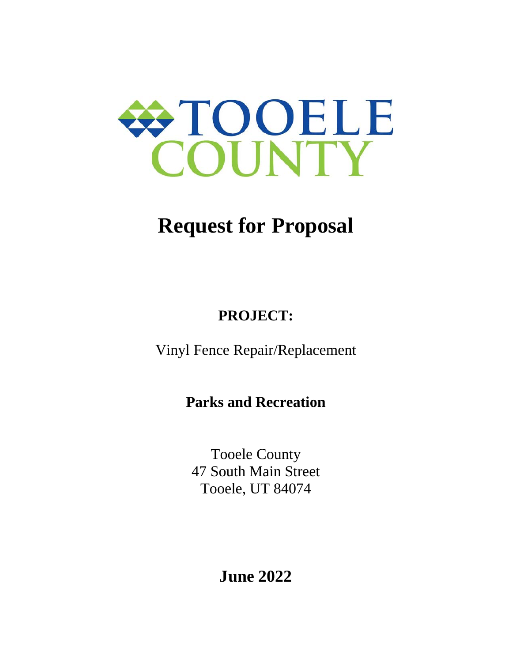

# **Request for Proposal**

# **PROJECT:**

Vinyl Fence Repair/Replacement

**Parks and Recreation**

Tooele County 47 South Main Street Tooele, UT 84074

**June 2022**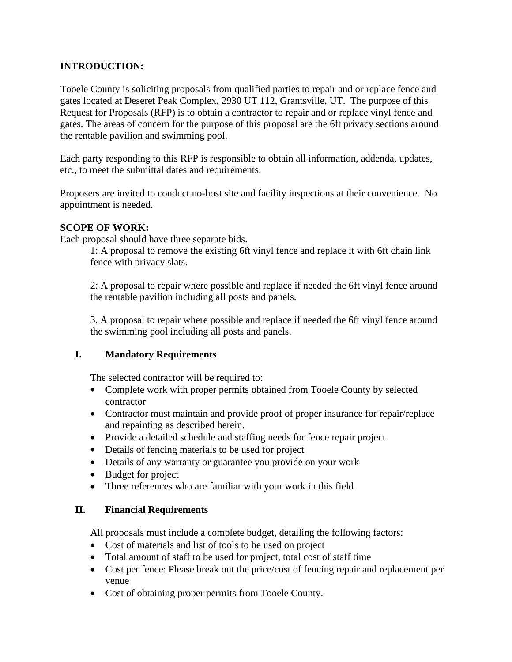#### **INTRODUCTION:**

Tooele County is soliciting proposals from qualified parties to repair and or replace fence and gates located at Deseret Peak Complex, 2930 UT 112, Grantsville, UT. The purpose of this Request for Proposals (RFP) is to obtain a contractor to repair and or replace vinyl fence and gates. The areas of concern for the purpose of this proposal are the 6ft privacy sections around the rentable pavilion and swimming pool.

Each party responding to this RFP is responsible to obtain all information, addenda, updates, etc., to meet the submittal dates and requirements.

Proposers are invited to conduct no-host site and facility inspections at their convenience. No appointment is needed.

#### **SCOPE OF WORK:**

Each proposal should have three separate bids.

1: A proposal to remove the existing 6ft vinyl fence and replace it with 6ft chain link fence with privacy slats.

2: A proposal to repair where possible and replace if needed the 6ft vinyl fence around the rentable pavilion including all posts and panels.

3. A proposal to repair where possible and replace if needed the 6ft vinyl fence around the swimming pool including all posts and panels.

#### **I. Mandatory Requirements**

The selected contractor will be required to:

- Complete work with proper permits obtained from Tooele County by selected contractor
- Contractor must maintain and provide proof of proper insurance for repair/replace and repainting as described herein.
- Provide a detailed schedule and staffing needs for fence repair project
- Details of fencing materials to be used for project
- Details of any warranty or guarantee you provide on your work
- Budget for project
- Three references who are familiar with your work in this field

#### **II. Financial Requirements**

All proposals must include a complete budget, detailing the following factors:

- Cost of materials and list of tools to be used on project
- Total amount of staff to be used for project, total cost of staff time
- Cost per fence: Please break out the price/cost of fencing repair and replacement per venue
- Cost of obtaining proper permits from Tooele County.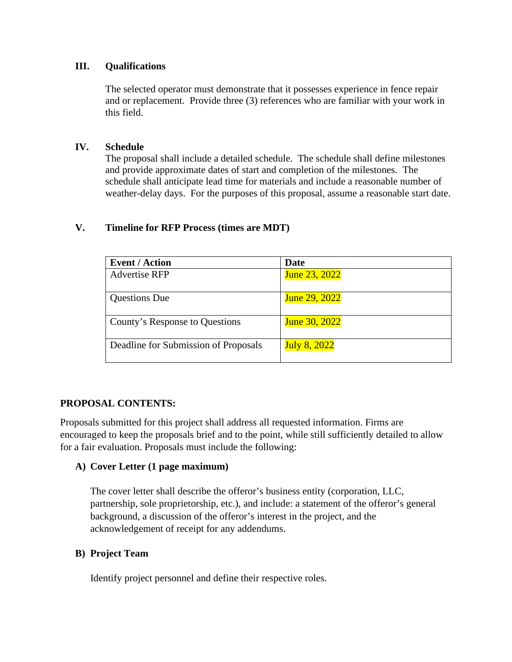#### **III. Qualifications**

The selected operator must demonstrate that it possesses experience in fence repair and or replacement. Provide three (3) references who are familiar with your work in this field.

#### **IV. Schedule**

The proposal shall include a detailed schedule. The schedule shall define milestones and provide approximate dates of start and completion of the milestones. The schedule shall anticipate lead time for materials and include a reasonable number of weather-delay days. For the purposes of this proposal, assume a reasonable start date.

#### **V. Timeline for RFP Process (times are MDT)**

| <b>Event / Action</b>                | Date                 |
|--------------------------------------|----------------------|
| <b>Advertise RFP</b>                 | June 23, 2022        |
| <b>Questions Due</b>                 | June 29, 2022        |
| County's Response to Questions       | <b>June 30, 2022</b> |
| Deadline for Submission of Proposals | <b>July 8, 2022</b>  |

#### **PROPOSAL CONTENTS:**

Proposals submitted for this project shall address all requested information. Firms are encouraged to keep the proposals brief and to the point, while still sufficiently detailed to allow for a fair evaluation. Proposals must include the following:

#### **A) Cover Letter (1 page maximum)**

The cover letter shall describe the offeror's business entity (corporation, LLC, partnership, sole proprietorship, etc.), and include: a statement of the offeror's general background, a discussion of the offeror's interest in the project, and the acknowledgement of receipt for any addendums.

#### **B) Project Team**

Identify project personnel and define their respective roles.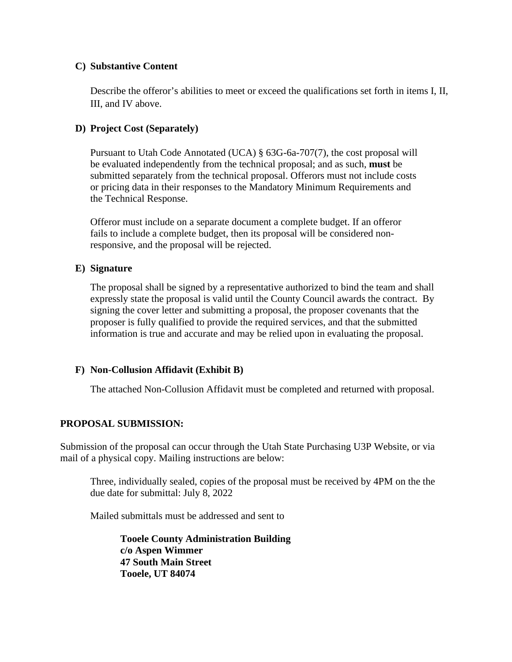#### **C) Substantive Content**

Describe the offeror's abilities to meet or exceed the qualifications set forth in items I, II, III, and IV above.

#### **D) Project Cost (Separately)**

Pursuant to Utah Code Annotated (UCA) § 63G-6a-707(7), the cost proposal will be evaluated independently from the technical proposal; and as such, **must** be submitted separately from the technical proposal. Offerors must not include costs or pricing data in their responses to the Mandatory Minimum Requirements and the Technical Response.

Offeror must include on a separate document a complete budget. If an offeror fails to include a complete budget, then its proposal will be considered nonresponsive, and the proposal will be rejected.

#### **E) Signature**

The proposal shall be signed by a representative authorized to bind the team and shall expressly state the proposal is valid until the County Council awards the contract. By signing the cover letter and submitting a proposal, the proposer covenants that the proposer is fully qualified to provide the required services, and that the submitted information is true and accurate and may be relied upon in evaluating the proposal.

#### **F) Non-Collusion Affidavit (Exhibit B)**

The attached Non-Collusion Affidavit must be completed and returned with proposal.

#### **PROPOSAL SUBMISSION:**

Submission of the proposal can occur through the Utah State Purchasing U3P Website, or via mail of a physical copy. Mailing instructions are below:

Three, individually sealed, copies of the proposal must be received by 4PM on the the due date for submittal: July 8, 2022

Mailed submittals must be addressed and sent to

**Tooele County Administration Building c/o Aspen Wimmer 47 South Main Street Tooele, UT 84074**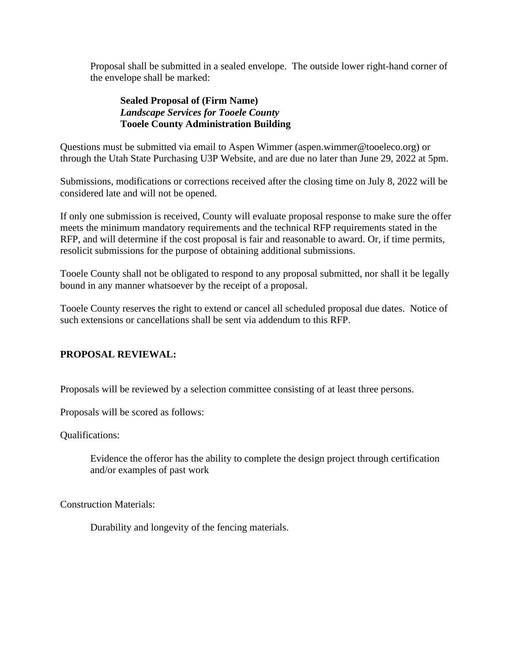Proposal shall be submitted in a sealed envelope. The outside lower right-hand corner of the envelope shall be marked:

#### **Sealed Proposal of (Firm Name)** *Landscape Services for Tooele County* **Tooele County Administration Building**

Questions must be submitted via email to Aspen Wimmer (aspen.wimmer@tooeleco.org) or through the Utah State Purchasing U3P Website, and are due no later than June 29, 2022 at 5pm.

Submissions, modifications or corrections received after the closing time on July 8, 2022 will be considered late and will not be opened.

If only one submission is received, County will evaluate proposal response to make sure the offer meets the minimum mandatory requirements and the technical RFP requirements stated in the RFP, and will determine if the cost proposal is fair and reasonable to award. Or, if time permits, resolicit submissions for the purpose of obtaining additional submissions.

Tooele County shall not be obligated to respond to any proposal submitted, nor shall it be legally bound in any manner whatsoever by the receipt of a proposal.

Tooele County reserves the right to extend or cancel all scheduled proposal due dates. Notice of such extensions or cancellations shall be sent via addendum to this RFP.

### **PROPOSAL REVIEWAL:**

Proposals will be reviewed by a selection committee consisting of at least three persons.

Proposals will be scored as follows:

Qualifications:

Evidence the offeror has the ability to complete the design project through certification and/or examples of past work

Construction Materials:

Durability and longevity of the fencing materials.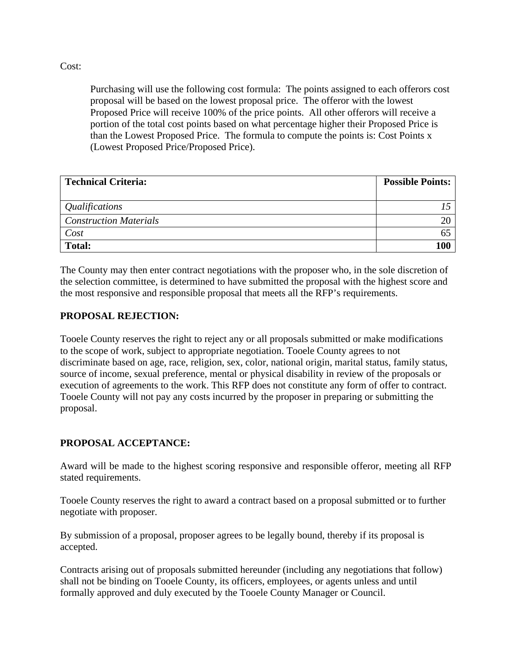#### Cost:

Purchasing will use the following cost formula: The points assigned to each offerors cost proposal will be based on the lowest proposal price. The offeror with the lowest Proposed Price will receive 100% of the price points. All other offerors will receive a portion of the total cost points based on what percentage higher their Proposed Price is than the Lowest Proposed Price. The formula to compute the points is: Cost Points x (Lowest Proposed Price/Proposed Price).

| <b>Technical Criteria:</b>    | <b>Possible Points:</b> |
|-------------------------------|-------------------------|
| <i>Qualifications</i>         |                         |
| <b>Construction Materials</b> |                         |
| Cost                          |                         |
| <b>Total:</b>                 |                         |

The County may then enter contract negotiations with the proposer who, in the sole discretion of the selection committee, is determined to have submitted the proposal with the highest score and the most responsive and responsible proposal that meets all the RFP's requirements.

#### **PROPOSAL REJECTION:**

Tooele County reserves the right to reject any or all proposals submitted or make modifications to the scope of work, subject to appropriate negotiation. Tooele County agrees to not discriminate based on age, race, religion, sex, color, national origin, marital status, family status, source of income, sexual preference, mental or physical disability in review of the proposals or execution of agreements to the work. This RFP does not constitute any form of offer to contract. Tooele County will not pay any costs incurred by the proposer in preparing or submitting the proposal.

#### **PROPOSAL ACCEPTANCE:**

Award will be made to the highest scoring responsive and responsible offeror, meeting all RFP stated requirements.

Tooele County reserves the right to award a contract based on a proposal submitted or to further negotiate with proposer.

By submission of a proposal, proposer agrees to be legally bound, thereby if its proposal is accepted.

Contracts arising out of proposals submitted hereunder (including any negotiations that follow) shall not be binding on Tooele County, its officers, employees, or agents unless and until formally approved and duly executed by the Tooele County Manager or Council.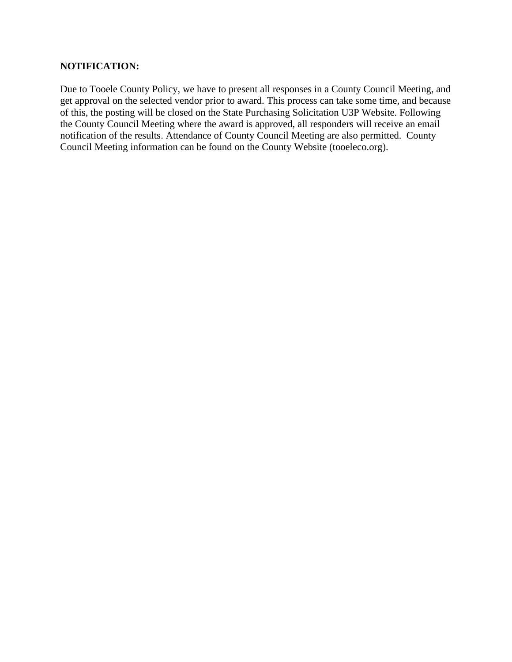#### **NOTIFICATION:**

Due to Tooele County Policy, we have to present all responses in a County Council Meeting, and get approval on the selected vendor prior to award. This process can take some time, and because of this, the posting will be closed on the State Purchasing Solicitation U3P Website. Following the County Council Meeting where the award is approved, all responders will receive an email notification of the results. Attendance of County Council Meeting are also permitted. County Council Meeting information can be found on the County Website (tooeleco.org).